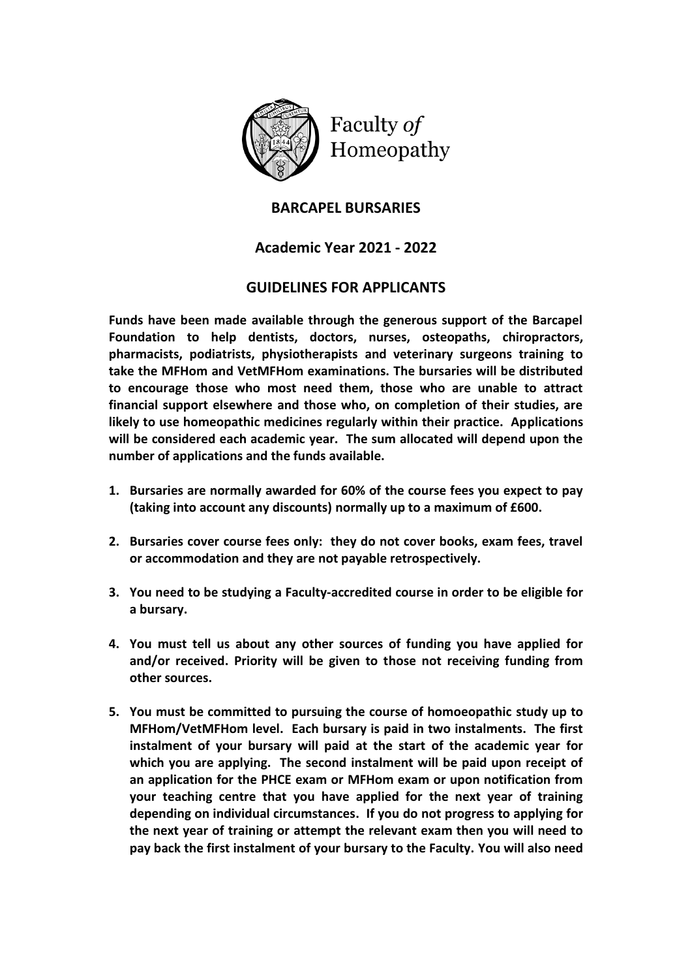

Faculty of Homeopathy

## **BARCAPEL BURSARIES**

## **Academic Year 2021 - 2022**

## **GUIDELINES FOR APPLICANTS**

**Funds have been made available through the generous support of the Barcapel Foundation to help dentists, doctors, nurses, osteopaths, chiropractors, pharmacists, podiatrists, physiotherapists and veterinary surgeons training to take the MFHom and VetMFHom examinations. The bursaries will be distributed to encourage those who most need them, those who are unable to attract financial support elsewhere and those who, on completion of their studies, are likely to use homeopathic medicines regularly within their practice. Applications will be considered each academic year. The sum allocated will depend upon the number of applications and the funds available.** 

- **1. Bursaries are normally awarded for 60% of the course fees you expect to pay (taking into account any discounts) normally up to a maximum of £600.**
- **2. Bursaries cover course fees only: they do not cover books, exam fees, travel or accommodation and they are not payable retrospectively.**
- **3. You need to be studying a Faculty-accredited course in order to be eligible for a bursary.**
- **4. You must tell us about any other sources of funding you have applied for and/or received. Priority will be given to those not receiving funding from other sources.**
- **5. You must be committed to pursuing the course of homoeopathic study up to MFHom/VetMFHom level. Each bursary is paid in two instalments. The first instalment of your bursary will paid at the start of the academic year for which you are applying. The second instalment will be paid upon receipt of an application for the PHCE exam or MFHom exam or upon notification from your teaching centre that you have applied for the next year of training depending on individual circumstances. If you do not progress to applying for the next year of training or attempt the relevant exam then you will need to pay back the first instalment of your bursary to the Faculty. You will also need**